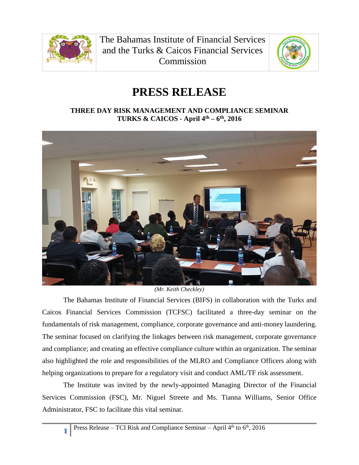

**1**

The Bahamas Institute of Financial Services and the Turks & Caicos Financial Services **Commission** 



## **PRESS RELEASE**

## **THREE DAY RISK MANAGEMENT AND COMPLIANCE SEMINAR TURKS & CAICOS - April 4th – 6 th, 2016**



*(Mr. Keith Checkley)*

The Bahamas Institute of Financial Services (BIFS) in collaboration with the Turks and Caicos Financial Services Commission (TCFSC) facilitated a three-day seminar on the fundamentals of risk management, compliance, corporate governance and anti-money laundering. The seminar focused on clarifying the linkages between risk management, corporate governance and compliance; and creating an effective compliance culture within an organization. The seminar also highlighted the role and responsibilities of the MLRO and Compliance Officers along with helping organizations to prepare for a regulatory visit and conduct AML/TF risk assessment.

The Institute was invited by the newly-appointed Managing Director of the Financial Services Commission (FSC), Mr. Niguel Streete and Ms. Tianna Williams, Senior Office Administrator, FSC to facilitate this vital seminar.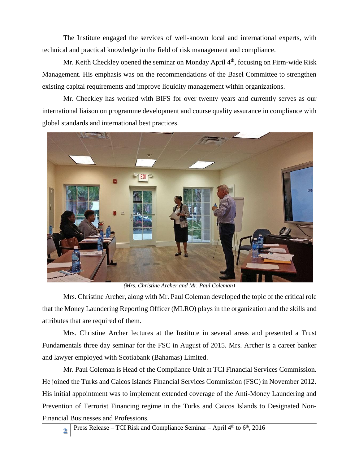The Institute engaged the services of well-known local and international experts, with technical and practical knowledge in the field of risk management and compliance.

Mr. Keith Checkley opened the seminar on Monday April  $4<sup>th</sup>$ , focusing on Firm-wide Risk Management. His emphasis was on the recommendations of the Basel Committee to strengthen existing capital requirements and improve liquidity management within organizations.

Mr. Checkley has worked with BIFS for over twenty years and currently serves as our international liaison on programme development and course quality assurance in compliance with global standards and international best practices.



*(Mrs. Christine Archer and Mr. Paul Coleman)*

Mrs. Christine Archer, along with Mr. Paul Coleman developed the topic of the critical role that the Money Laundering Reporting Officer (MLRO) plays in the organization and the skills and attributes that are required of them.

Mrs. Christine Archer lectures at the Institute in several areas and presented a Trust Fundamentals three day seminar for the FSC in August of 2015. Mrs. Archer is a career banker and lawyer employed with Scotiabank (Bahamas) Limited.

Mr. Paul Coleman is Head of the Compliance Unit at TCI Financial Services Commission. He joined the Turks and Caicos Islands Financial Services Commission (FSC) in November 2012. His initial appointment was to implement extended coverage of the Anti-Money Laundering and Prevention of Terrorist Financing regime in the Turks and Caicos Islands to Designated Non-Financial Businesses and Professions.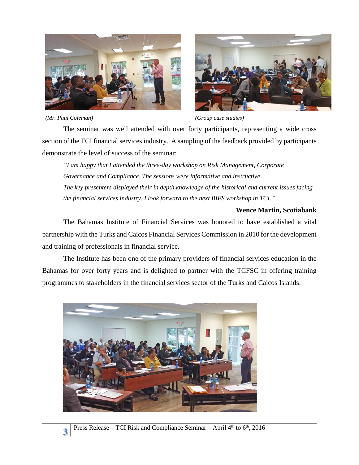



*(Mr. Paul Coleman) (Group case studies)*

The seminar was well attended with over forty participants, representing a wide cross section of the TCI financial services industry. A sampling of the feedback provided by participants demonstrate the level of success of the seminar:

*"I am happy that I attended the three-day workshop on Risk Management, Corporate Governance and Compliance. The sessions were informative and instructive. The key presenters displayed their in depth knowledge of the historical and current issues facing the financial services industry. I look forward to the next BIFS workshop in TCI."*

## **Wence Martin, Scotiabank**

The Bahamas Institute of Financial Services was honored to have established a vital partnership with the Turks and Caicos Financial Services Commission in 2010 for the development and training of professionals in financial service.

The Institute has been one of the primary providers of financial services education in the Bahamas for over forty years and is delighted to partner with the TCFSC in offering training programmes to stakeholders in the financial services sector of the Turks and Caicos Islands.